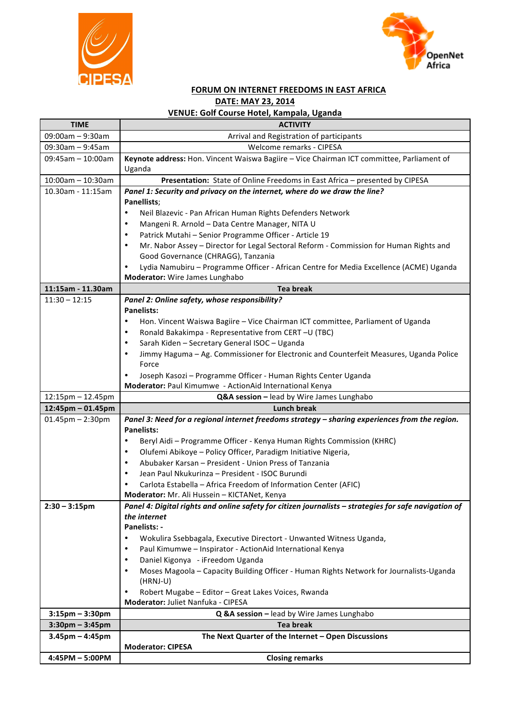



## **FORUM ON INTERNET FREEDOMS IN EAST AFRICA DATE: MAY 23, 2014**

## **VENUE: Golf Course Hotel, Kampala, Uganda**

| <b>TIME</b>                            | <b>ACTIVITY</b>                                                                                                                               |
|----------------------------------------|-----------------------------------------------------------------------------------------------------------------------------------------------|
| 09:00am - 9:30am                       | Arrival and Registration of participants                                                                                                      |
| $09:30$ am - 9:45am                    | Welcome remarks - CIPESA                                                                                                                      |
| 09:45am - 10:00am                      | Keynote address: Hon. Vincent Waiswa Bagiire - Vice Chairman ICT committee, Parliament of                                                     |
|                                        | Uganda                                                                                                                                        |
| $10:00$ am - 10:30am                   | Presentation: State of Online Freedoms in East Africa - presented by CIPESA                                                                   |
| 10.30am - 11:15am                      | Panel 1: Security and privacy on the internet, where do we draw the line?                                                                     |
|                                        | Panellists;                                                                                                                                   |
|                                        | Neil Blazevic - Pan African Human Rights Defenders Network                                                                                    |
|                                        | Mangeni R. Arnold - Data Centre Manager, NITA U                                                                                               |
|                                        | Patrick Mutahi - Senior Programme Officer - Article 19<br>$\bullet$                                                                           |
|                                        | Mr. Nabor Assey - Director for Legal Sectoral Reform - Commission for Human Rights and<br>٠                                                   |
|                                        | Good Governance (CHRAGG), Tanzania                                                                                                            |
|                                        | Lydia Namubiru - Programme Officer - African Centre for Media Excellence (ACME) Uganda                                                        |
|                                        | Moderator: Wire James Lunghabo                                                                                                                |
| 11:15am - 11.30am                      | <b>Tea break</b>                                                                                                                              |
| $11:30 - 12:15$                        | Panel 2: Online safety, whose responsibility?<br><b>Panelists:</b>                                                                            |
|                                        |                                                                                                                                               |
|                                        | Hon. Vincent Waiswa Bagiire - Vice Chairman ICT committee, Parliament of Uganda<br>Ronald Bakakimpa - Representative from CERT - U (TBC)<br>٠ |
|                                        | Sarah Kiden - Secretary General ISOC - Uganda<br>٠                                                                                            |
|                                        | Jimmy Haguma - Ag. Commissioner for Electronic and Counterfeit Measures, Uganda Police                                                        |
|                                        | Force                                                                                                                                         |
|                                        | Joseph Kasozi - Programme Officer - Human Rights Center Uganda                                                                                |
|                                        | Moderator: Paul Kimumwe - ActionAid International Kenya                                                                                       |
|                                        |                                                                                                                                               |
|                                        |                                                                                                                                               |
| 12:15pm - 12.45pm<br>12:45pm - 01.45pm | Q&A session - lead by Wire James Lunghabo<br><b>Lunch break</b>                                                                               |
| $01.45$ pm $- 2:30$ pm                 | Panel 3: Need for a regional internet freedoms strategy - sharing experiences from the region.                                                |
|                                        | <b>Panelists:</b>                                                                                                                             |
|                                        | Beryl Aidi - Programme Officer - Kenya Human Rights Commission (KHRC)<br>٠                                                                    |
|                                        | Olufemi Abikoye - Policy Officer, Paradigm Initiative Nigeria,<br>٠                                                                           |
|                                        | Abubaker Karsan - President - Union Press of Tanzania<br>٠                                                                                    |
|                                        | Jean Paul Nkukurinza - President - ISOC Burundi<br>٠                                                                                          |
|                                        | Carlota Estabella - Africa Freedom of Information Center (AFIC)                                                                               |
|                                        | Moderator: Mr. Ali Hussein - KICTANet, Kenya                                                                                                  |
| $2:30 - 3:15 \text{pm}$                | Panel 4: Digital rights and online safety for citizen journalists – strategies for safe navigation of                                         |
|                                        | the internet                                                                                                                                  |
|                                        | Panelists: -                                                                                                                                  |
|                                        | Wokulira Ssebbagala, Executive Directort - Unwanted Witness Uganda,<br>$\bullet$                                                              |
|                                        | Paul Kimumwe - Inspirator - ActionAid International Kenya<br>$\bullet$                                                                        |
|                                        | Daniel Kigonya - iFreedom Uganda<br>٠                                                                                                         |
|                                        | Moses Magoola - Capacity Building Officer - Human Rights Network for Journalists-Uganda<br>$\bullet$                                          |
|                                        | (HRNJ-U)<br>$\bullet$                                                                                                                         |
|                                        | Robert Mugabe - Editor - Great Lakes Voices, Rwanda<br>Moderator: Juliet Nanfuka - CIPESA                                                     |
| $3:15$ pm – $3:30$ pm                  | Q &A session - lead by Wire James Lunghabo                                                                                                    |
| $3:30$ pm - $3:45$ pm                  | <b>Tea break</b>                                                                                                                              |
| $3.45$ pm - 4:45pm                     | The Next Quarter of the Internet - Open Discussions                                                                                           |
| 4:45PM - 5:00PM                        | <b>Moderator: CIPESA</b><br><b>Closing remarks</b>                                                                                            |